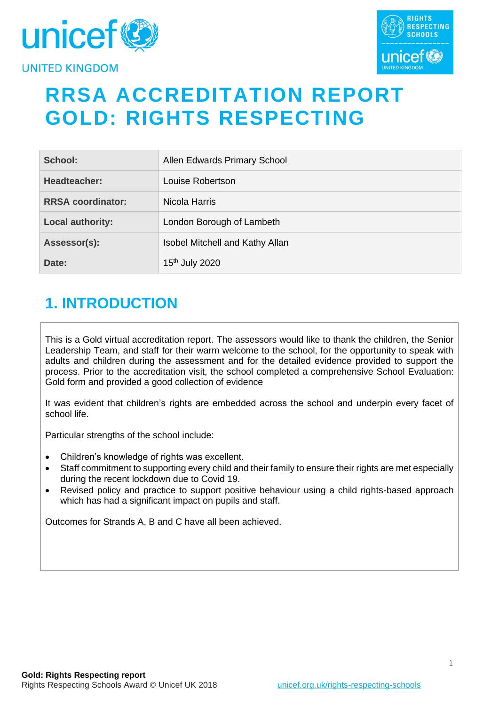



# **RRSA ACCREDITATION REPORT GOLD: RIGHTS RESPECTING**

| School:                  | Allen Edwards Primary School           |
|--------------------------|----------------------------------------|
| Headteacher:             | Louise Robertson                       |
| <b>RRSA coordinator:</b> | Nicola Harris                          |
| <b>Local authority:</b>  | London Borough of Lambeth              |
| Assessor(s):             | <b>Isobel Mitchell and Kathy Allan</b> |
| Date:                    | 15 <sup>th</sup> July 2020             |

# **1. INTRODUCTION**

This is a Gold virtual accreditation report. The assessors would like to thank the children, the Senior Leadership Team, and staff for their warm welcome to the school, for the opportunity to speak with adults and children during the assessment and for the detailed evidence provided to support the process. Prior to the accreditation visit, the school completed a comprehensive School Evaluation: Gold form and provided a good collection of evidence

It was evident that children's rights are embedded across the school and underpin every facet of school life.

Particular strengths of the school include:

- Children's knowledge of rights was excellent.
- Staff commitment to supporting every child and their family to ensure their rights are met especially during the recent lockdown due to Covid 19.
- Revised policy and practice to support positive behaviour using a child rights-based approach which has had a significant impact on pupils and staff.

Outcomes for Strands A, B and C have all been achieved.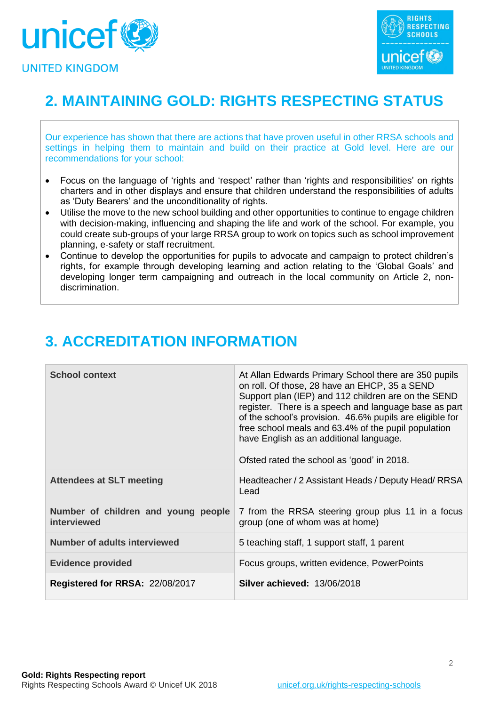



# **2. MAINTAINING GOLD: RIGHTS RESPECTING STATUS**

Our experience has shown that there are actions that have proven useful in other RRSA schools and settings in helping them to maintain and build on their practice at Gold level. Here are our recommendations for your school:

- Focus on the language of 'rights and 'respect' rather than 'rights and responsibilities' on rights charters and in other displays and ensure that children understand the responsibilities of adults as 'Duty Bearers' and the unconditionality of rights.
- Utilise the move to the new school building and other opportunities to continue to engage children with decision-making, influencing and shaping the life and work of the school. For example, you could create sub-groups of your large RRSA group to work on topics such as school improvement planning, e-safety or staff recruitment.
- Continue to develop the opportunities for pupils to advocate and campaign to protect children's rights, for example through developing learning and action relating to the 'Global Goals' and developing longer term campaigning and outreach in the local community on Article 2, nondiscrimination.

| <b>School context</b>                              | At Allan Edwards Primary School there are 350 pupils<br>on roll. Of those, 28 have an EHCP, 35 a SEND<br>Support plan (IEP) and 112 children are on the SEND<br>register. There is a speech and language base as part<br>of the school's provision. 46.6% pupils are eligible for<br>free school meals and 63.4% of the pupil population<br>have English as an additional language.<br>Ofsted rated the school as 'good' in 2018. |
|----------------------------------------------------|-----------------------------------------------------------------------------------------------------------------------------------------------------------------------------------------------------------------------------------------------------------------------------------------------------------------------------------------------------------------------------------------------------------------------------------|
| <b>Attendees at SLT meeting</b>                    | Headteacher / 2 Assistant Heads / Deputy Head/ RRSA<br>Lead                                                                                                                                                                                                                                                                                                                                                                       |
| Number of children and young people<br>interviewed | 7 from the RRSA steering group plus 11 in a focus<br>group (one of whom was at home)                                                                                                                                                                                                                                                                                                                                              |
| <b>Number of adults interviewed</b>                | 5 teaching staff, 1 support staff, 1 parent                                                                                                                                                                                                                                                                                                                                                                                       |
| <b>Evidence provided</b>                           | Focus groups, written evidence, PowerPoints                                                                                                                                                                                                                                                                                                                                                                                       |
| Registered for RRSA: 22/08/2017                    | Silver achieved: 13/06/2018                                                                                                                                                                                                                                                                                                                                                                                                       |

# **3. ACCREDITATION INFORMATION**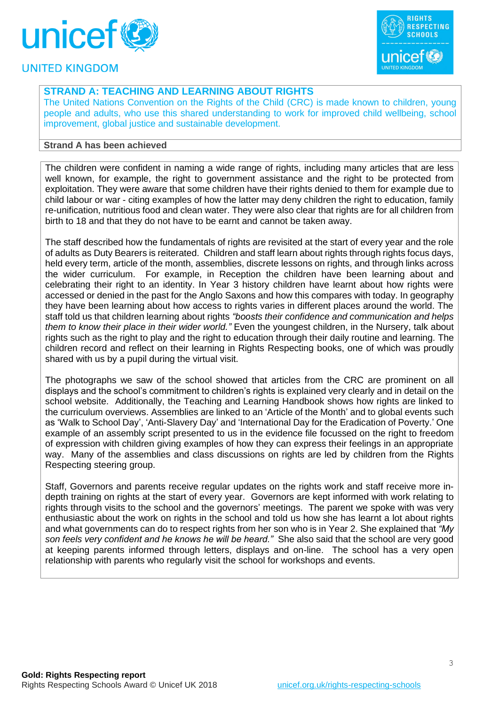



## **STRAND A: TEACHING AND LEARNING ABOUT RIGHTS**

The United Nations Convention on the Rights of the Child (CRC) is made known to children, young people and adults, who use this shared understanding to work for improved child wellbeing, school improvement, global justice and sustainable development.

#### **Strand A has been achieved**

The children were confident in naming a wide range of rights, including many articles that are less well known, for example, the right to government assistance and the right to be protected from exploitation. They were aware that some children have their rights denied to them for example due to child labour or war - citing examples of how the latter may deny children the right to education, family re-unification, nutritious food and clean water. They were also clear that rights are for all children from birth to 18 and that they do not have to be earnt and cannot be taken away.

The staff described how the fundamentals of rights are revisited at the start of every year and the role of adults as Duty Bearers is reiterated. Children and staff learn about rights through rights focus days, held every term, article of the month, assemblies, discrete lessons on rights, and through links across the wider curriculum. For example, in Reception the children have been learning about and celebrating their right to an identity. In Year 3 history children have learnt about how rights were accessed or denied in the past for the Anglo Saxons and how this compares with today. In geography they have been learning about how access to rights varies in different places around the world. The staff told us that children learning about rights *"boosts their confidence and communication and helps them to know their place in their wider world."* Even the youngest children, in the Nursery, talk about rights such as the right to play and the right to education through their daily routine and learning. The children record and reflect on their learning in Rights Respecting books, one of which was proudly shared with us by a pupil during the virtual visit.

The photographs we saw of the school showed that articles from the CRC are prominent on all displays and the school's commitment to children's rights is explained very clearly and in detail on the school website. Additionally, the Teaching and Learning Handbook shows how rights are linked to the curriculum overviews. Assemblies are linked to an 'Article of the Month' and to global events such as 'Walk to School Day', 'Anti-Slavery Day' and 'International Day for the Eradication of Poverty.' One example of an assembly script presented to us in the evidence file focussed on the right to freedom of expression with children giving examples of how they can express their feelings in an appropriate way. Many of the assemblies and class discussions on rights are led by children from the Rights Respecting steering group.

Staff, Governors and parents receive regular updates on the rights work and staff receive more indepth training on rights at the start of every year. Governors are kept informed with work relating to rights through visits to the school and the governors' meetings. The parent we spoke with was very enthusiastic about the work on rights in the school and told us how she has learnt a lot about rights and what governments can do to respect rights from her son who is in Year 2. She explained that *"My son feels very confident and he knows he will be heard."* She also said that the school are very good at keeping parents informed through letters, displays and on-line. The school has a very open relationship with parents who regularly visit the school for workshops and events.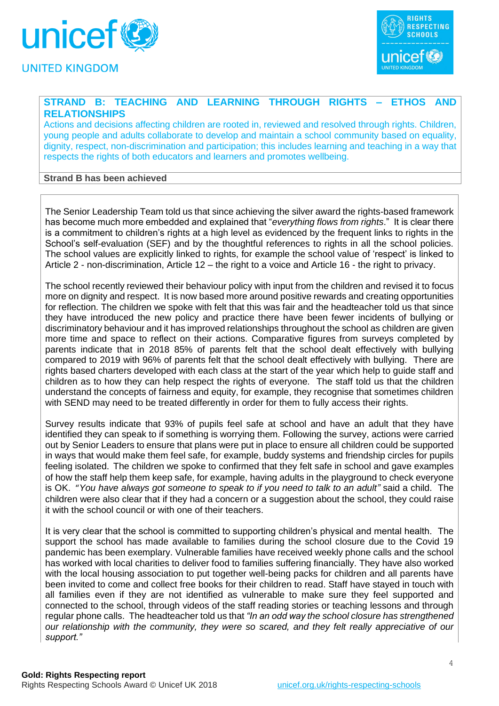



### **STRAND B: TEACHING AND LEARNING THROUGH RIGHTS – ETHOS AND RELATIONSHIPS**

Actions and decisions affecting children are rooted in, reviewed and resolved through rights. Children, young people and adults collaborate to develop and maintain a school community based on equality, dignity, respect, non-discrimination and participation; this includes learning and teaching in a way that respects the rights of both educators and learners and promotes wellbeing.

#### **Strand B has been achieved**

The Senior Leadership Team told us that since achieving the silver award the rights-based framework has become much more embedded and explained that "*everything flows from rights*." It is clear there is a commitment to children's rights at a high level as evidenced by the frequent links to rights in the School's self-evaluation (SEF) and by the thoughtful references to rights in all the school policies. The school values are explicitly linked to rights, for example the school value of 'respect' is linked to Article 2 - non-discrimination, Article 12 – the right to a voice and Article 16 - the right to privacy.

The school recently reviewed their behaviour policy with input from the children and revised it to focus more on dignity and respect. It is now based more around positive rewards and creating opportunities for reflection. The children we spoke with felt that this was fair and the headteacher told us that since they have introduced the new policy and practice there have been fewer incidents of bullying or discriminatory behaviour and it has improved relationships throughout the school as children are given more time and space to reflect on their actions. Comparative figures from surveys completed by parents indicate that in 2018 85% of parents felt that the school dealt effectively with bullying compared to 2019 with 96% of parents felt that the school dealt effectively with bullying. There are rights based charters developed with each class at the start of the year which help to guide staff and children as to how they can help respect the rights of everyone. The staff told us that the children understand the concepts of fairness and equity, for example, they recognise that sometimes children with SEND may need to be treated differently in order for them to fully access their rights.

Survey results indicate that 93% of pupils feel safe at school and have an adult that they have identified they can speak to if something is worrying them. Following the survey, actions were carried out by Senior Leaders to ensure that plans were put in place to ensure all children could be supported in ways that would make them feel safe, for example, buddy systems and friendship circles for pupils feeling isolated. The children we spoke to confirmed that they felt safe in school and gave examples of how the staff help them keep safe, for example, having adults in the playground to check everyone is OK. "*You have always got someone to speak to if you need to talk to an adult"* said a child.The children were also clear that if they had a concern or a suggestion about the school, they could raise it with the school council or with one of their teachers.

It is very clear that the school is committed to supporting children's physical and mental health. The support the school has made available to families during the school closure due to the Covid 19 pandemic has been exemplary. Vulnerable families have received weekly phone calls and the school has worked with local charities to deliver food to families suffering financially. They have also worked with the local housing association to put together well-being packs for children and all parents have been invited to come and collect free books for their children to read. Staff have stayed in touch with all families even if they are not identified as vulnerable to make sure they feel supported and connected to the school, through videos of the staff reading stories or teaching lessons and through regular phone calls. The headteacher told us that *"In an odd way the school closure has strengthened our relationship with the community, they were so scared, and they felt really appreciative of our support."*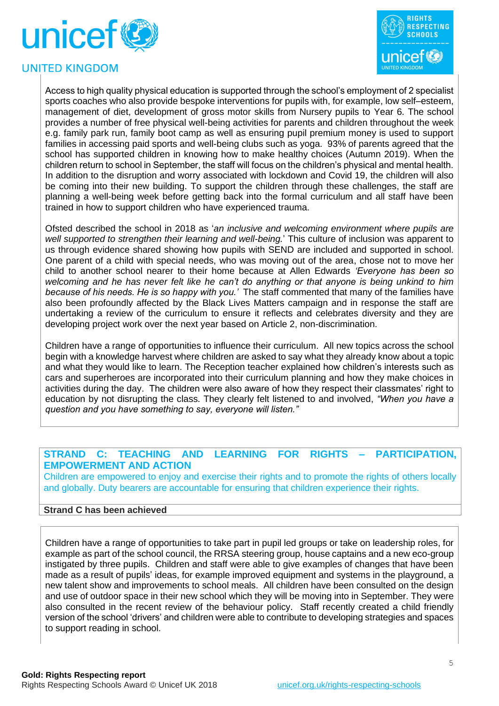



Access to high quality physical education is supported through the school's employment of 2 specialist sports coaches who also provide bespoke interventions for pupils with, for example, low self–esteem, management of diet, development of gross motor skills from Nursery pupils to Year 6. The school provides a number of free physical well-being activities for parents and children throughout the week e.g. family park run, family boot camp as well as ensuring pupil premium money is used to support families in accessing paid sports and well-being clubs such as yoga. 93% of parents agreed that the school has supported children in knowing how to make healthy choices (Autumn 2019). When the children return to school in September, the staff will focus on the children's physical and mental health. In addition to the disruption and worry associated with lockdown and Covid 19, the children will also be coming into their new building. To support the children through these challenges, the staff are planning a well-being week before getting back into the formal curriculum and all staff have been trained in how to support children who have experienced trauma.

Ofsted described the school in 2018 as '*an inclusive and welcoming environment where pupils are well supported to strengthen their learning and well-being.*' This culture of inclusion was apparent to us through evidence shared showing how pupils with SEND are included and supported in school. One parent of a child with special needs, who was moving out of the area, chose not to move her child to another school nearer to their home because at Allen Edwards *'Everyone has been so welcoming and he has never felt like he can't do anything or that anyone is being unkind to him because of his needs. He is so happy with you.'* The staff commented that many of the families have also been profoundly affected by the Black Lives Matters campaign and in response the staff are undertaking a review of the curriculum to ensure it reflects and celebrates diversity and they are developing project work over the next year based on Article 2, non-discrimination.

Children have a range of opportunities to influence their curriculum. All new topics across the school begin with a knowledge harvest where children are asked to say what they already know about a topic and what they would like to learn. The Reception teacher explained how children's interests such as cars and superheroes are incorporated into their curriculum planning and how they make choices in activities during the day. The children were also aware of how they respect their classmates' right to education by not disrupting the class. They clearly felt listened to and involved, *"When you have a question and you have something to say, everyone will listen."*

### **STRAND C: TEACHING AND LEARNING FOR RIGHTS – PARTICIPATION, EMPOWERMENT AND ACTION**

Children are empowered to enjoy and exercise their rights and to promote the rights of others locally and globally. Duty bearers are accountable for ensuring that children experience their rights.

#### **Strand C has been achieved**

Children have a range of opportunities to take part in pupil led groups or take on leadership roles, for example as part of the school council, the RRSA steering group, house captains and a new eco-group instigated by three pupils. Children and staff were able to give examples of changes that have been made as a result of pupils' ideas, for example improved equipment and systems in the playground, a new talent show and improvements to school meals. All children have been consulted on the design and use of outdoor space in their new school which they will be moving into in September. They were also consulted in the recent review of the behaviour policy. Staff recently created a child friendly version of the school 'drivers' and children were able to contribute to developing strategies and spaces to support reading in school.